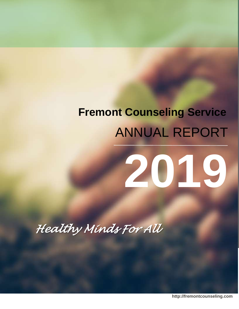# **Fremont Counseling Service** ANNUAL REPORT

# **2019**

*Healthy Minds For All* 

**http://fremontcounseling.com**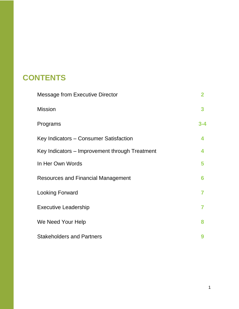# **CONTENTS**

| <b>Message from Executive Director</b>         | 2   |
|------------------------------------------------|-----|
| <b>Mission</b>                                 | 3   |
| Programs                                       | 3-4 |
| Key Indicators – Consumer Satisfaction         | 4   |
| Key Indicators – Improvement through Treatment |     |
| In Her Own Words                               | 5   |
| <b>Resources and Financial Management</b>      | 6   |
| <b>Looking Forward</b>                         |     |
| <b>Executive Leadership</b>                    | 7   |
| We Need Your Help                              | я   |
| <b>Stakeholders and Partners</b>               |     |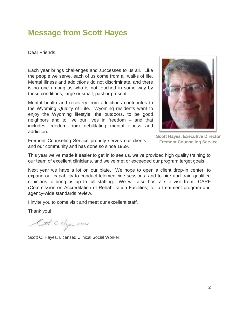#### **Message from Scott Hayes**

Dear Friends,

Each year brings challenges and successes to us all. Like the people we serve, each of us come from all walks of life. Mental illness and addictions do not discriminate, and there is no one among us who is not touched in some way by these conditions, large or small, past or present.

Mental health and recovery from addictions contributes to the Wyoming Quality of Life. Wyoming residents want to enjoy the Wyoming lifestyle, the outdoors, to be good neighbors and to live our lives in freedom – and that includes freedom from debilitating mental illness and addiction.



**Scott Hayes, Executive Director Fremont Counseling Service**

Fremont Counseling Service proudly serves our clients and our community and has done so since 1959.

This year we've made it easier to get in to see us, we've provided high quality training to our team of excellent clinicians, and we've met or exceeded our program target goals.

Next year we have a lot on our plate. We hope to open a client drop-in center, to expand our capability to conduct telemedicine sessions, and to hire and train qualified clinicians to bring us up to full staffing. We will also host a site visit from CARF (Commission on Accreditation of Rehabilitation Facilities) for a treatment program and agency-wide standards review.

I invite you to come visit and meet our excellent staff.

Thank you!

Satt C Haya LISU

Scott C. Hayes, Licensed Clinical Social Worker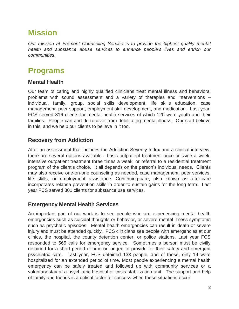# **Mission**

*Our mission at Fremont Counseling Service is to provide the highest quality mental health and substance abuse services to enhance people's lives and enrich our communities.*

# **Programs**

#### **Mental Health**

Our team of caring and highly qualified clinicians treat mental illness and behavioral problems with sound assessment and a variety of therapies and interventions – individual, family, group, social skills development, life skills education, case management, peer support, employment skill development, and medication. Last year, FCS served 816 clients for mental health services of which 120 were youth and their families. People can and do recover from debilitating mental illness. Our staff believe in this, and we help our clients to believe in it too.

#### **Recovery from Addiction**

After an assessment that includes the Addiction Severity Index and a clinical interview, there are several options available - basic outpatient treatment once or twice a week, intensive outpatient treatment three times a week, or referral to a residential treatment program of the client's choice. It all depends on the person's individual needs. Clients may also receive one-on-one counseling as needed, case management, peer services, life skills, or employment assistance. Continuing-care, also known as after-care incorporates relapse prevention skills in order to sustain gains for the long term. Last year FCS served 301 clients for substance use services.

#### **Emergency Mental Health Services**

An important part of our work is to see people who are experiencing mental health emergencies such as suicidal thoughts or behavior, or severe mental illness symptoms such as psychotic episodes. Mental health emergencies can result in death or severe injury and must be attended quickly. FCS clinicians see people with emergencies at our clinics, the hospital, the county detention center, or police stations. Last year FCS responded to 565 calls for emergency service. Sometimes a person must be civilly detained for a short period of time or longer, to provide for their safety and emergent psychiatric care. Last year, FCS detained 133 people, and of those, only 19 were hospitalized for an extended period of time. Most people experiencing a mental health emergency can be safely treated and followed up with community services or a voluntary stay at a psychiatric hospital or crisis stabilization unit. The support and help of family and friends is a critical factor for success when these situations occur.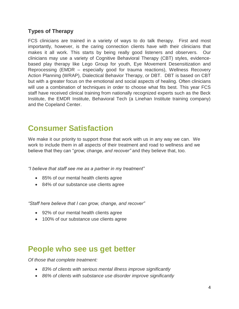#### **Types of Therapy**

FCS clinicians are trained in a variety of ways to do talk therapy. First and most importantly, however, is the caring connection clients have with their clinicians that makes it all work. This starts by being really good listeners and observers. Our clinicians may use a variety of Cognitive Behavioral Therapy (CBT) styles, evidencebased play therapy like Lego Group for youth, Eye Movement Desensitization and Reprocessing (EMDR – especially good for trauma reactions), Wellness Recovery Action Planning (WRAP), Dialectical Behavior Therapy, or DBT. DBT is based on CBT but with a greater focus on the emotional and social aspects of healing. Often clinicians will use a combination of techniques in order to choose what fits best. This year FCS staff have received clinical training from nationally recognized experts such as the Beck Institute, the EMDR Institute, Behavioral Tech (a Linehan Institute training company) and the Copeland Center.

## **Consumer Satisfaction**

We make it our priority to support those that work with us in any way we can. We work to include them in all aspects of their treatment and road to wellness and we believe that they can "*grow, change, and recover"* and they believe that, too.

*"I believe that staff see me as a partner in my treatment"*

- 85% of our mental health clients agree
- 84% of our substance use clients agree

*"Staff here believe that I can grow, change, and recover"*

- 92% of our mental health clients agree
- 100% of our substance use clients agree

#### **People who see us get better**

*Of those that complete treatment:*

- *83% of clients with serious mental illness improve significantly*
- *86% of clients with substance use disorder improve significantly*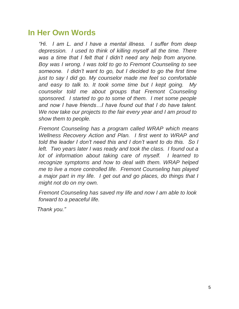## **In Her Own Words**

*"Hi. I am L. and I have a mental illness. I suffer from deep depression. I used to think of killing myself all the time. There was a time that I felt that I didn't need any help from anyone. Boy was I wrong. I was told to go to Fremont Counseling to see someone. I didn't want to go, but I decided to go the first time just to say I did go. My counselor made me feel so comfortable and easy to talk to. It took some time but I kept going. My counselor told me about groups that Fremont Counseling sponsored. I started to go to some of them. I met some people and now I have friends…I have found out that I do have talent. We now take our projects to the fair every year and I am proud to show them to people.* 

*Fremont Counseling has a program called WRAP which means Wellness Recovery Action and Plan. I first went to WRAP and told the leader I don't need this and I don't want to do this. So I left. Two years later I was ready and took the class. I found out a lot of information about taking care of myself. I learned to recognize symptoms and how to deal with them. WRAP helped me to live a more controlled life. Fremont Counseling has played a major part in my life. I get out and go places, do things that I might not do on my own.* 

*Fremont Counseling has saved my life and now I am able to look forward to a peaceful life.* 

*Thank you."*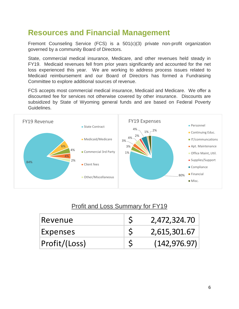# **Resources and Financial Management**

Fremont Counseling Service (FCS) is a 501(c)(3) private non-profit organization governed by a community Board of Directors.

State, commercial medical insurance, Medicare, and other revenues held steady in FY19. Medicaid revenues fell from prior years significantly and accounted for the net loss experienced this year. We are working to address process issues related to Medicaid reimbursement and our Board of Directors has formed a Fundraising Committee to explore additional sources of revenue.

FCS accepts most commercial medical insurance, Medicaid and Medicare. We offer a discounted fee for services not otherwise covered by other insurance. Discounts are subsidized by State of Wyoming general funds and are based on Federal Poverty Guidelines.



#### Profit and Loss Summary for FY19

| Revenue       | 2,472,324.70  |
|---------------|---------------|
| Expenses      | 2,615,301.67  |
| Profit/(Loss) | (142, 976.97) |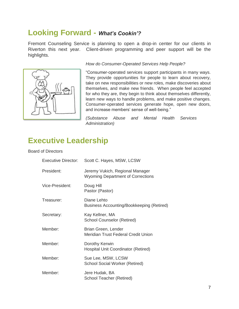#### **Looking Forward -** *What's Cookin'?*

Fremont Counseling Service is planning to open a drop-in center for our clients in Riverton this next year. Client-driven programming and peer support will be the highlights.



#### *How do Consumer-Operated Services Help People?*

"Consumer-operated services support participants in many ways. They provide opportunities for people to learn about recovery, take on new responsibilities or new roles, make discoveries about themselves, and make new friends. When people feel accepted for who they are, they begin to think about themselves differently, learn new ways to handle problems, and make positive changes. Consumer-operated services generate hope, open new doors, and increase members' sense of well-being."

*(Substance Abuse and Mental Health Services Administration)*

#### **Executive Leadership**

#### Board of Directors

| <b>Executive Director:</b> | Scott C. Hayes, MSW, LCSW                                                   |
|----------------------------|-----------------------------------------------------------------------------|
| President:                 | Jeremy Vukich, Regional Manager<br><b>Wyoming Department of Corrections</b> |
| Vice-President:            | Doug Hill<br>Pastor (Pastor)                                                |
| Treasurer:                 | Diane Lehto<br>Business Accounting/Bookkeeping (Retired)                    |
| Secretary:                 | Kay Kellner, MA<br><b>School Counselor (Retired)</b>                        |
| Member:                    | Brian Green, Lender<br>Meridian Trust Federal Credit Union                  |
| Member:                    | Dorothy Kerwin<br><b>Hospital Unit Coordinator (Retired)</b>                |
| Member:                    | Sue Lee, MSW, LCSW<br><b>School Social Worker (Retired)</b>                 |
| Member:                    | Jere Hudak, BA<br>School Teacher (Retired)                                  |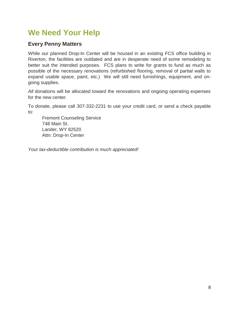# **We Need Your Help**

#### **Every Penny Matters**

While our planned Drop-In Center will be housed in an existing FCS office building in Riverton, the facilities are outdated and are in desperate need of some remodeling to better suit the intended purposes. FCS plans to write for grants to fund as much as possible of the necessary renovations (refurbished flooring, removal of partial walls to expand usable space, paint, etc.) We will still need furnishings, equipment, and ongoing supplies.

All donations will be allocated toward the renovations and ongoing operating expenses for the new center.

To donate, please call 307-332-2231 to use your credit card, or send a check payable to:

Fremont Counseling Service 748 Main St. Lander, WY 82520 Attn: Drop-In Center

*Your tax-deductible contribution is much appreciated!*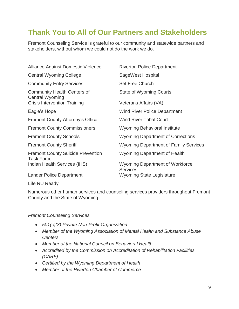## **Thank You to All of Our Partners and Stakeholders**

Fremont Counseling Service is grateful to our community and statewide partners and stakeholders, without whom we could not do the work we do.

| <b>Alliance Against Domestic Violence</b>                     | <b>Riverton Police Department</b>                         |
|---------------------------------------------------------------|-----------------------------------------------------------|
| <b>Central Wyoming College</b>                                | SageWest Hospital                                         |
| <b>Community Entry Services</b>                               | <b>Set Free Church</b>                                    |
| <b>Community Health Centers of</b><br><b>Central Wyoming</b>  | <b>State of Wyoming Courts</b>                            |
| <b>Crisis Intervention Training</b>                           | Veterans Affairs (VA)                                     |
| Eagle's Hope                                                  | <b>Wind River Police Department</b>                       |
| <b>Fremont County Attorney's Office</b>                       | <b>Wind River Tribal Court</b>                            |
| <b>Fremont County Commissioners</b>                           | <b>Wyoming Behavioral Institute</b>                       |
| <b>Fremont County Schools</b>                                 | <b>Wyoming Department of Corrections</b>                  |
| <b>Fremont County Sheriff</b>                                 | <b>Wyoming Department of Family Services</b>              |
| <b>Fremont County Suicide Prevention</b><br><b>Task Force</b> | <b>Wyoming Department of Health</b>                       |
| Indian Health Services (IHS)                                  | <b>Wyoming Department of Workforce</b><br><b>Services</b> |
| <b>Lander Police Department</b>                               | <b>Wyoming State Legislature</b>                          |

Life RU Ready

Numerous other human services and counseling services providers throughout Fremont County and the State of Wyoming

#### *Fremont Counseling Services*

- *501(c)(3) Private Non-Profit Organization*
- *Member of the Wyoming Association of Mental Health and Substance Abuse Centers*
- *Member of the National Council on Behavioral Health*
- *Accredited by the Commission on Accreditation of Rehabilitation Facilities (CARF)*
- *Certified by the Wyoming Department of Health*
- *Member of the Riverton Chamber of Commerce*